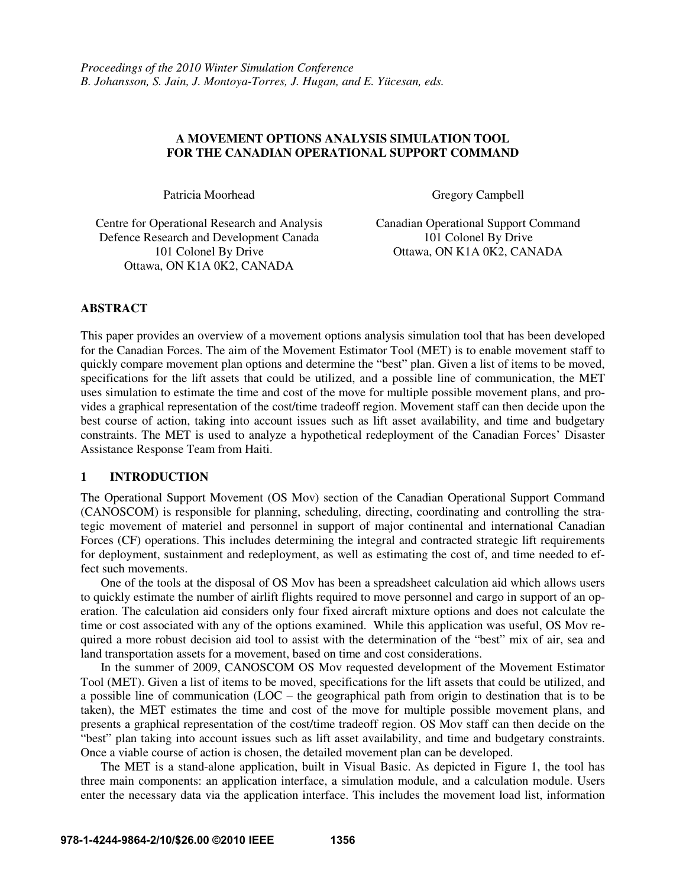## **A MOVEMENT OPTIONS ANALYSIS SIMULATION TOOL FOR THE CANADIAN OPERATIONAL SUPPORT COMMAND**

Patricia Moorhead Gregory Campbell

Centre for Operational Research and Analysis Canadian Operational Support Command Defence Research and Development Canada 101 Colonel By Drive Ottawa, ON K1A 0K2, CANADA

101 Colonel By Drive Ottawa, ON K1A 0K2, CANADA

## **ABSTRACT**

This paper provides an overview of a movement options analysis simulation tool that has been developed for the Canadian Forces. The aim of the Movement Estimator Tool (MET) is to enable movement staff to quickly compare movement plan options and determine the "best" plan. Given a list of items to be moved, specifications for the lift assets that could be utilized, and a possible line of communication, the MET uses simulation to estimate the time and cost of the move for multiple possible movement plans, and provides a graphical representation of the cost/time tradeoff region. Movement staff can then decide upon the best course of action, taking into account issues such as lift asset availability, and time and budgetary constraints. The MET is used to analyze a hypothetical redeployment of the Canadian Forces' Disaster Assistance Response Team from Haiti.

## **1 INTRODUCTION**

The Operational Support Movement (OS Mov) section of the Canadian Operational Support Command (CANOSCOM) is responsible for planning, scheduling, directing, coordinating and controlling the strategic movement of materiel and personnel in support of major continental and international Canadian Forces (CF) operations. This includes determining the integral and contracted strategic lift requirements for deployment, sustainment and redeployment, as well as estimating the cost of, and time needed to effect such movements.

One of the tools at the disposal of OS Mov has been a spreadsheet calculation aid which allows users to quickly estimate the number of airlift flights required to move personnel and cargo in support of an operation. The calculation aid considers only four fixed aircraft mixture options and does not calculate the time or cost associated with any of the options examined. While this application was useful, OS Mov required a more robust decision aid tool to assist with the determination of the "best" mix of air, sea and land transportation assets for a movement, based on time and cost considerations.

In the summer of 2009, CANOSCOM OS Mov requested development of the Movement Estimator Tool (MET). Given a list of items to be moved, specifications for the lift assets that could be utilized, and a possible line of communication (LOC – the geographical path from origin to destination that is to be taken), the MET estimates the time and cost of the move for multiple possible movement plans, and presents a graphical representation of the cost/time tradeoff region. OS Mov staff can then decide on the "best" plan taking into account issues such as lift asset availability, and time and budgetary constraints. Once a viable course of action is chosen, the detailed movement plan can be developed.

The MET is a stand-alone application, built in Visual Basic. As depicted in Figure 1, the tool has three main components: an application interface, a simulation module, and a calculation module. Users enter the necessary data via the application interface. This includes the movement load list, information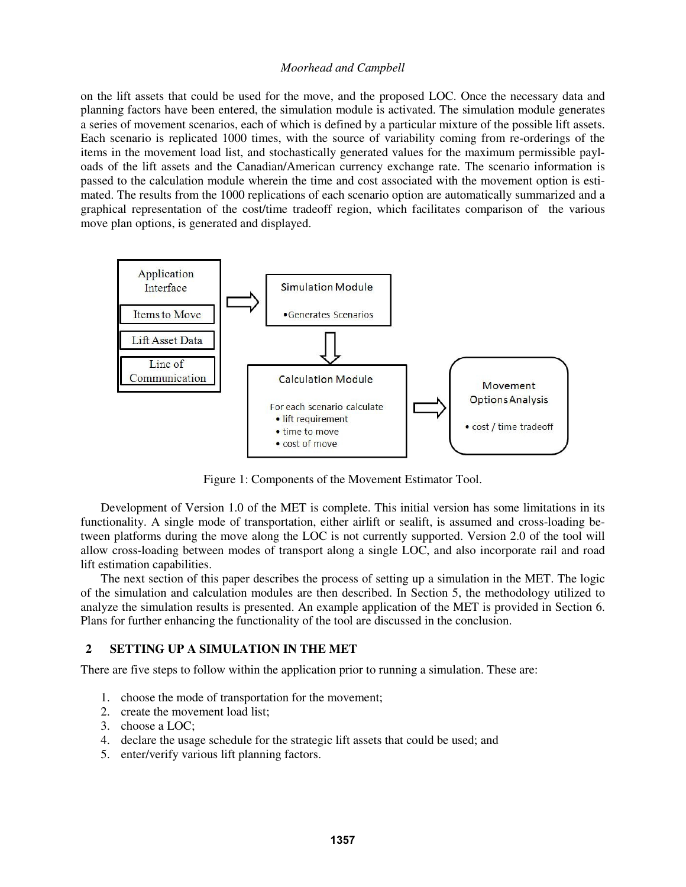on the lift assets that could be used for the move, and the proposed LOC. Once the necessary data and planning factors have been entered, the simulation module is activated. The simulation module generates a series of movement scenarios, each of which is defined by a particular mixture of the possible lift assets. Each scenario is replicated 1000 times, with the source of variability coming from re-orderings of the items in the movement load list, and stochastically generated values for the maximum permissible payloads of the lift assets and the Canadian/American currency exchange rate. The scenario information is passed to the calculation module wherein the time and cost associated with the movement option is estimated. The results from the 1000 replications of each scenario option are automatically summarized and a graphical representation of the cost/time tradeoff region, which facilitates comparison of the various move plan options, is generated and displayed.



Figure 1: Components of the Movement Estimator Tool.

Development of Version 1.0 of the MET is complete. This initial version has some limitations in its functionality. A single mode of transportation, either airlift or sealift, is assumed and cross-loading between platforms during the move along the LOC is not currently supported. Version 2.0 of the tool will allow cross-loading between modes of transport along a single LOC, and also incorporate rail and road lift estimation capabilities.

The next section of this paper describes the process of setting up a simulation in the MET. The logic of the simulation and calculation modules are then described. In Section 5, the methodology utilized to analyze the simulation results is presented. An example application of the MET is provided in Section 6. Plans for further enhancing the functionality of the tool are discussed in the conclusion.

### **2 SETTING UP A SIMULATION IN THE MET**

There are five steps to follow within the application prior to running a simulation. These are:

- 1. choose the mode of transportation for the movement;
- 2. create the movement load list;
- 3. choose a LOC;
- 4. declare the usage schedule for the strategic lift assets that could be used; and
- 5. enter/verify various lift planning factors.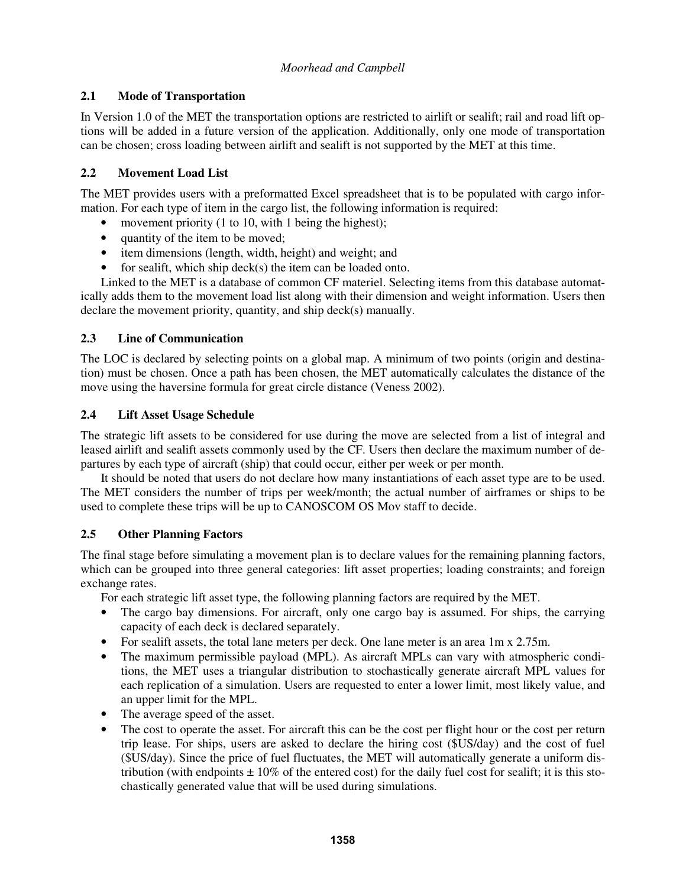# **2.1 Mode of Transportation**

In Version 1.0 of the MET the transportation options are restricted to airlift or sealift; rail and road lift options will be added in a future version of the application. Additionally, only one mode of transportation can be chosen; cross loading between airlift and sealift is not supported by the MET at this time.

# **2.2 Movement Load List**

The MET provides users with a preformatted Excel spreadsheet that is to be populated with cargo information. For each type of item in the cargo list, the following information is required:

- movement priority  $(1 \text{ to } 10)$ , with 1 being the highest);
- quantity of the item to be moved;
- item dimensions (length, width, height) and weight; and
- for sealift, which ship deck(s) the item can be loaded onto.

Linked to the MET is a database of common CF materiel. Selecting items from this database automatically adds them to the movement load list along with their dimension and weight information. Users then declare the movement priority, quantity, and ship deck(s) manually.

# **2.3 Line of Communication**

The LOC is declared by selecting points on a global map. A minimum of two points (origin and destination) must be chosen. Once a path has been chosen, the MET automatically calculates the distance of the move using the haversine formula for great circle distance (Veness 2002).

## **2.4 Lift Asset Usage Schedule**

The strategic lift assets to be considered for use during the move are selected from a list of integral and leased airlift and sealift assets commonly used by the CF. Users then declare the maximum number of departures by each type of aircraft (ship) that could occur, either per week or per month.

It should be noted that users do not declare how many instantiations of each asset type are to be used. The MET considers the number of trips per week/month; the actual number of airframes or ships to be used to complete these trips will be up to CANOSCOM OS Mov staff to decide.

## **2.5 Other Planning Factors**

The final stage before simulating a movement plan is to declare values for the remaining planning factors, which can be grouped into three general categories: lift asset properties; loading constraints; and foreign exchange rates.

For each strategic lift asset type, the following planning factors are required by the MET.

- The cargo bay dimensions. For aircraft, only one cargo bay is assumed. For ships, the carrying capacity of each deck is declared separately.
- For sealift assets, the total lane meters per deck. One lane meter is an area 1m x 2.75m.
- The maximum permissible payload (MPL). As aircraft MPLs can vary with atmospheric conditions, the MET uses a triangular distribution to stochastically generate aircraft MPL values for each replication of a simulation. Users are requested to enter a lower limit, most likely value, and an upper limit for the MPL.
- The average speed of the asset.
- The cost to operate the asset. For aircraft this can be the cost per flight hour or the cost per return trip lease. For ships, users are asked to declare the hiring cost (\$US/day) and the cost of fuel (\$US/day). Since the price of fuel fluctuates, the MET will automatically generate a uniform distribution (with endpoints  $\pm 10\%$  of the entered cost) for the daily fuel cost for sealift; it is this stochastically generated value that will be used during simulations.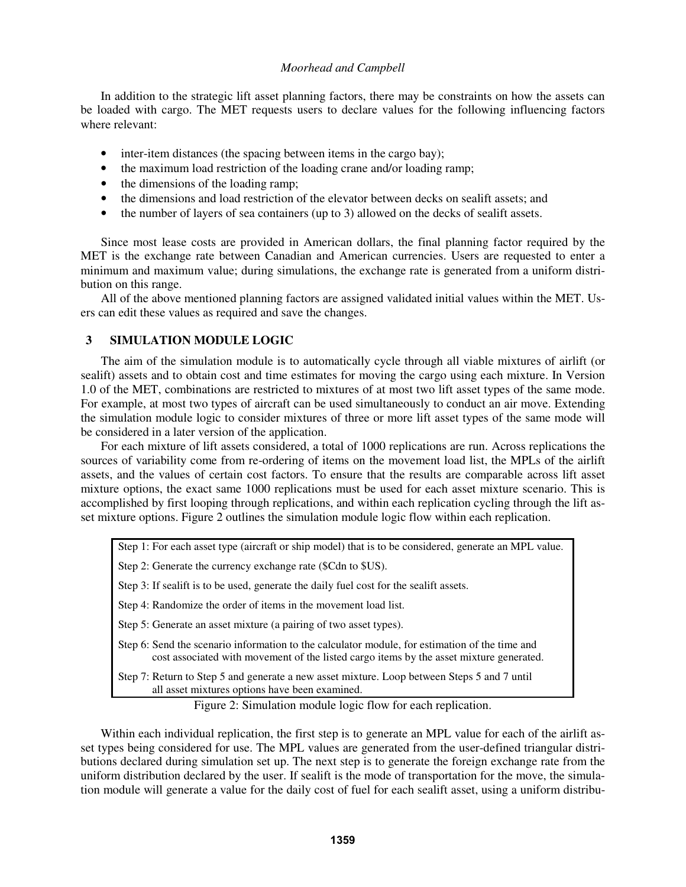In addition to the strategic lift asset planning factors, there may be constraints on how the assets can be loaded with cargo. The MET requests users to declare values for the following influencing factors where relevant:

- inter-item distances (the spacing between items in the cargo bay);
- the maximum load restriction of the loading crane and/or loading ramp;
- the dimensions of the loading ramp;
- the dimensions and load restriction of the elevator between decks on sealift assets; and
- the number of layers of sea containers (up to 3) allowed on the decks of sealift assets.

Since most lease costs are provided in American dollars, the final planning factor required by the MET is the exchange rate between Canadian and American currencies. Users are requested to enter a minimum and maximum value; during simulations, the exchange rate is generated from a uniform distribution on this range.

All of the above mentioned planning factors are assigned validated initial values within the MET. Users can edit these values as required and save the changes.

### **3 SIMULATION MODULE LOGIC**

The aim of the simulation module is to automatically cycle through all viable mixtures of airlift (or sealift) assets and to obtain cost and time estimates for moving the cargo using each mixture. In Version 1.0 of the MET, combinations are restricted to mixtures of at most two lift asset types of the same mode. For example, at most two types of aircraft can be used simultaneously to conduct an air move. Extending the simulation module logic to consider mixtures of three or more lift asset types of the same mode will be considered in a later version of the application.

For each mixture of lift assets considered, a total of 1000 replications are run. Across replications the sources of variability come from re-ordering of items on the movement load list, the MPLs of the airlift assets, and the values of certain cost factors. To ensure that the results are comparable across lift asset mixture options, the exact same 1000 replications must be used for each asset mixture scenario. This is accomplished by first looping through replications, and within each replication cycling through the lift asset mixture options. Figure 2 outlines the simulation module logic flow within each replication.

Step 1: For each asset type (aircraft or ship model) that is to be considered, generate an MPL value.

- Step 2: Generate the currency exchange rate (\$Cdn to \$US).
- Step 3: If sealift is to be used, generate the daily fuel cost for the sealift assets.
- Step 4: Randomize the order of items in the movement load list.
- Step 5: Generate an asset mixture (a pairing of two asset types).
- Step 6: Send the scenario information to the calculator module, for estimation of the time and cost associated with movement of the listed cargo items by the asset mixture generated.
- Step 7: Return to Step 5 and generate a new asset mixture. Loop between Steps 5 and 7 until all asset mixtures options have been examined.

Figure 2: Simulation module logic flow for each replication.

Within each individual replication, the first step is to generate an MPL value for each of the airlift asset types being considered for use. The MPL values are generated from the user-defined triangular distributions declared during simulation set up. The next step is to generate the foreign exchange rate from the uniform distribution declared by the user. If sealift is the mode of transportation for the move, the simulation module will generate a value for the daily cost of fuel for each sealift asset, using a uniform distribu-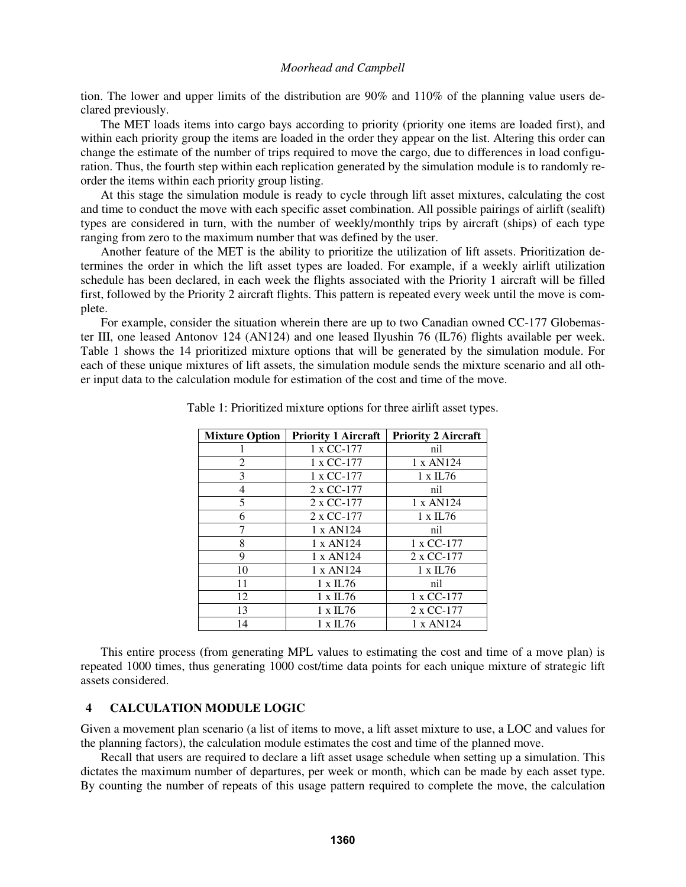tion. The lower and upper limits of the distribution are 90% and 110% of the planning value users declared previously.

The MET loads items into cargo bays according to priority (priority one items are loaded first), and within each priority group the items are loaded in the order they appear on the list. Altering this order can change the estimate of the number of trips required to move the cargo, due to differences in load configuration. Thus, the fourth step within each replication generated by the simulation module is to randomly reorder the items within each priority group listing.

At this stage the simulation module is ready to cycle through lift asset mixtures, calculating the cost and time to conduct the move with each specific asset combination. All possible pairings of airlift (sealift) types are considered in turn, with the number of weekly/monthly trips by aircraft (ships) of each type ranging from zero to the maximum number that was defined by the user.

Another feature of the MET is the ability to prioritize the utilization of lift assets. Prioritization determines the order in which the lift asset types are loaded. For example, if a weekly airlift utilization schedule has been declared, in each week the flights associated with the Priority 1 aircraft will be filled first, followed by the Priority 2 aircraft flights. This pattern is repeated every week until the move is complete.

For example, consider the situation wherein there are up to two Canadian owned CC-177 Globemaster III, one leased Antonov 124 (AN124) and one leased Ilyushin 76 (IL76) flights available per week. Table 1 shows the 14 prioritized mixture options that will be generated by the simulation module. For each of these unique mixtures of lift assets, the simulation module sends the mixture scenario and all other input data to the calculation module for estimation of the cost and time of the move.

| <b>Mixture Option</b> | <b>Priority 1 Aircraft</b> | <b>Priority 2 Aircraft</b> |
|-----------------------|----------------------------|----------------------------|
|                       | 1 x CC-177                 | nil                        |
| 2                     | 1 x CC-177                 | 1 x AN124                  |
| 3                     | 1 x CC-177                 | $1 \times IL76$            |
| 4                     | 2 x CC-177                 | nil                        |
| 5                     | 2 x CC-177                 | 1 x AN124                  |
| 6                     | 2 x CC-177                 | $1 \times IL76$            |
|                       | 1 x AN124                  | nil                        |
| 8                     | 1 x AN124                  | 1 x CC-177                 |
| 9                     | 1 x AN124                  | 2 x CC-177                 |
| 10                    | 1 x AN124                  | $1 \times IL76$            |
| 11                    | $1 \times IL76$            | ni1                        |
| 12                    | $1 \times IL76$            | 1 x CC-177                 |
| 13                    | $1 \times IL76$            | 2 x CC-177                 |
| 14                    | $1 \times \text{IL}$ 76    | 1 x AN124                  |

Table 1: Prioritized mixture options for three airlift asset types.

This entire process (from generating MPL values to estimating the cost and time of a move plan) is repeated 1000 times, thus generating 1000 cost/time data points for each unique mixture of strategic lift assets considered.

## **4 CALCULATION MODULE LOGIC**

Given a movement plan scenario (a list of items to move, a lift asset mixture to use, a LOC and values for the planning factors), the calculation module estimates the cost and time of the planned move.

Recall that users are required to declare a lift asset usage schedule when setting up a simulation. This dictates the maximum number of departures, per week or month, which can be made by each asset type. By counting the number of repeats of this usage pattern required to complete the move, the calculation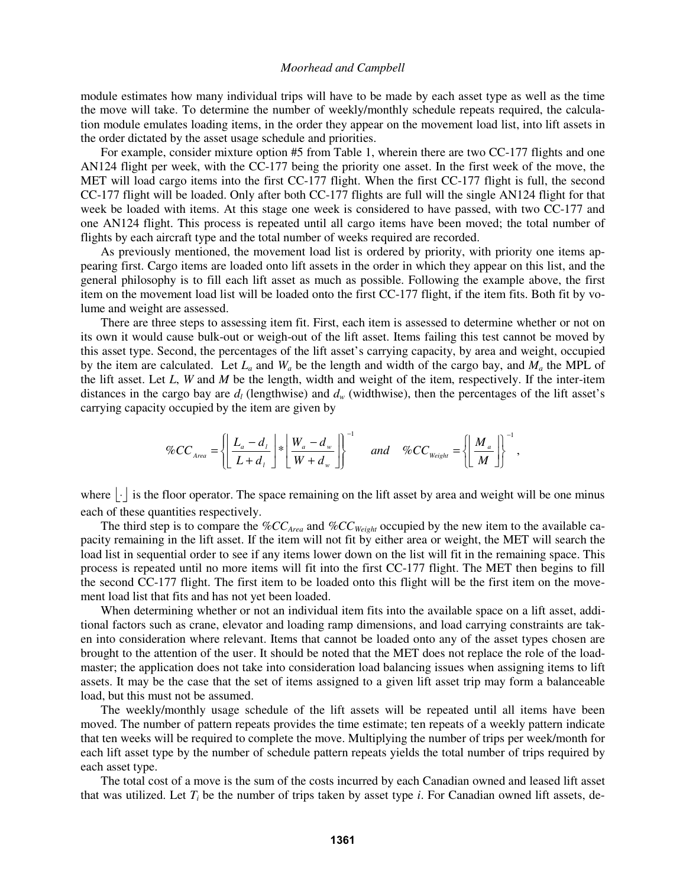module estimates how many individual trips will have to be made by each asset type as well as the time the move will take. To determine the number of weekly/monthly schedule repeats required, the calculation module emulates loading items, in the order they appear on the movement load list, into lift assets in the order dictated by the asset usage schedule and priorities.

For example, consider mixture option #5 from Table 1, wherein there are two CC-177 flights and one AN124 flight per week, with the CC-177 being the priority one asset. In the first week of the move, the MET will load cargo items into the first CC-177 flight. When the first CC-177 flight is full, the second CC-177 flight will be loaded. Only after both CC-177 flights are full will the single AN124 flight for that week be loaded with items. At this stage one week is considered to have passed, with two CC-177 and one AN124 flight. This process is repeated until all cargo items have been moved; the total number of flights by each aircraft type and the total number of weeks required are recorded.

As previously mentioned, the movement load list is ordered by priority, with priority one items appearing first. Cargo items are loaded onto lift assets in the order in which they appear on this list, and the general philosophy is to fill each lift asset as much as possible. Following the example above, the first item on the movement load list will be loaded onto the first CC-177 flight, if the item fits. Both fit by volume and weight are assessed.

There are three steps to assessing item fit. First, each item is assessed to determine whether or not on its own it would cause bulk-out or weigh-out of the lift asset. Items failing this test cannot be moved by this asset type. Second, the percentages of the lift asset's carrying capacity, by area and weight, occupied by the item are calculated. Let  $L_a$  and  $W_a$  be the length and width of the cargo bay, and  $M_a$  the MPL of the lift asset. Let *L*, *W* and *M* be the length, width and weight of the item, respectively. If the inter-item distances in the cargo bay are  $d_l$  (lengthwise) and  $d_w$  (widthwise), then the percentages of the lift asset's carrying capacity occupied by the item are given by

$$
\%CC_{Area} = \left\{ \left[ \frac{L_a - d_i}{L + d_i} \right] * \left[ \frac{W_a - d_w}{W + d_w} \right] \right\}^{-1} \quad \text{and} \quad \%CC_{Weight} = \left\{ \left[ \frac{M_a}{M} \right] \right\}^{-1},
$$

where  $|\cdot|$  is the floor operator. The space remaining on the lift asset by area and weight will be one minus each of these quantities respectively.

The third step is to compare the *%CC<sub>Area</sub>* and *%CC<sub>Weight</sub>* occupied by the new item to the available capacity remaining in the lift asset. If the item will not fit by either area or weight, the MET will search the load list in sequential order to see if any items lower down on the list will fit in the remaining space. This process is repeated until no more items will fit into the first CC-177 flight. The MET then begins to fill the second CC-177 flight. The first item to be loaded onto this flight will be the first item on the movement load list that fits and has not yet been loaded.

When determining whether or not an individual item fits into the available space on a lift asset, additional factors such as crane, elevator and loading ramp dimensions, and load carrying constraints are taken into consideration where relevant. Items that cannot be loaded onto any of the asset types chosen are brought to the attention of the user. It should be noted that the MET does not replace the role of the loadmaster; the application does not take into consideration load balancing issues when assigning items to lift assets. It may be the case that the set of items assigned to a given lift asset trip may form a balanceable load, but this must not be assumed.

The weekly/monthly usage schedule of the lift assets will be repeated until all items have been moved. The number of pattern repeats provides the time estimate; ten repeats of a weekly pattern indicate that ten weeks will be required to complete the move. Multiplying the number of trips per week/month for each lift asset type by the number of schedule pattern repeats yields the total number of trips required by each asset type.

The total cost of a move is the sum of the costs incurred by each Canadian owned and leased lift asset that was utilized. Let  $T_i$  be the number of trips taken by asset type  $i$ . For Canadian owned lift assets, de-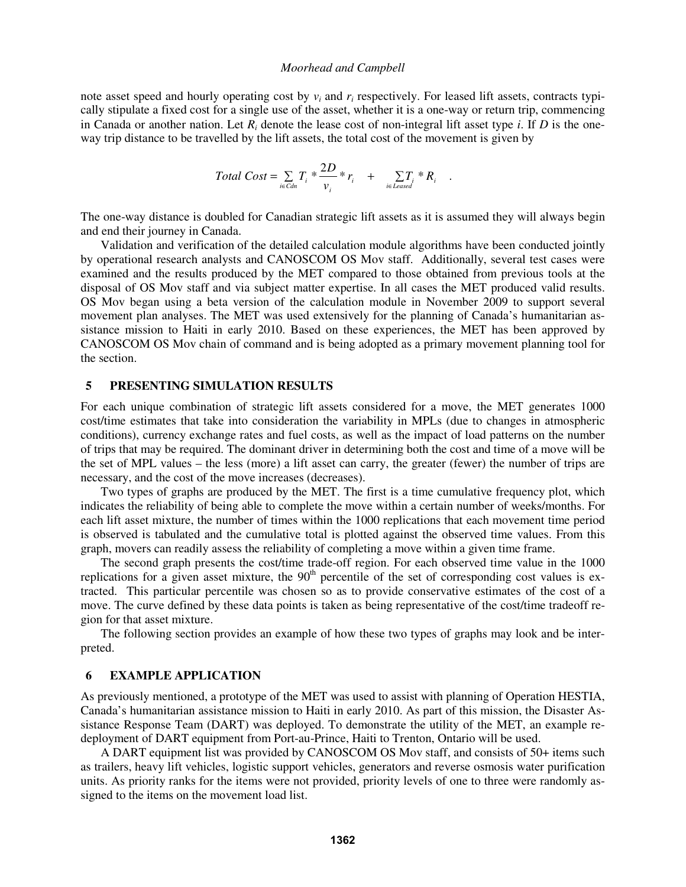note asset speed and hourly operating cost by  $v_i$  and  $r_i$  respectively. For leased lift assets, contracts typically stipulate a fixed cost for a single use of the asset, whether it is a one-way or return trip, commencing in Canada or another nation. Let  $R_i$  denote the lease cost of non-integral lift asset type *i*. If *D* is the oneway trip distance to be travelled by the lift assets, the total cost of the movement is given by

$$
Total Cost = \sum_{i \in Cal} T_i * \frac{2D}{v_i} * r_i + \sum_{i \in Local} T_i * R_i .
$$

The one-way distance is doubled for Canadian strategic lift assets as it is assumed they will always begin and end their journey in Canada.

Validation and verification of the detailed calculation module algorithms have been conducted jointly by operational research analysts and CANOSCOM OS Mov staff. Additionally, several test cases were examined and the results produced by the MET compared to those obtained from previous tools at the disposal of OS Mov staff and via subject matter expertise. In all cases the MET produced valid results. OS Mov began using a beta version of the calculation module in November 2009 to support several movement plan analyses. The MET was used extensively for the planning of Canada's humanitarian assistance mission to Haiti in early 2010. Based on these experiences, the MET has been approved by CANOSCOM OS Mov chain of command and is being adopted as a primary movement planning tool for the section.

#### **5 PRESENTING SIMULATION RESULTS**

For each unique combination of strategic lift assets considered for a move, the MET generates 1000 cost/time estimates that take into consideration the variability in MPLs (due to changes in atmospheric conditions), currency exchange rates and fuel costs, as well as the impact of load patterns on the number of trips that may be required. The dominant driver in determining both the cost and time of a move will be the set of MPL values – the less (more) a lift asset can carry, the greater (fewer) the number of trips are necessary, and the cost of the move increases (decreases).

Two types of graphs are produced by the MET. The first is a time cumulative frequency plot, which indicates the reliability of being able to complete the move within a certain number of weeks/months. For each lift asset mixture, the number of times within the 1000 replications that each movement time period is observed is tabulated and the cumulative total is plotted against the observed time values. From this graph, movers can readily assess the reliability of completing a move within a given time frame.

The second graph presents the cost/time trade-off region. For each observed time value in the 1000 replications for a given asset mixture, the  $90<sup>th</sup>$  percentile of the set of corresponding cost values is extracted. This particular percentile was chosen so as to provide conservative estimates of the cost of a move. The curve defined by these data points is taken as being representative of the cost/time tradeoff region for that asset mixture.

The following section provides an example of how these two types of graphs may look and be interpreted.

#### **6 EXAMPLE APPLICATION**

As previously mentioned, a prototype of the MET was used to assist with planning of Operation HESTIA, Canada's humanitarian assistance mission to Haiti in early 2010. As part of this mission, the Disaster Assistance Response Team (DART) was deployed. To demonstrate the utility of the MET, an example redeployment of DART equipment from Port-au-Prince, Haiti to Trenton, Ontario will be used.

A DART equipment list was provided by CANOSCOM OS Mov staff, and consists of 50+ items such as trailers, heavy lift vehicles, logistic support vehicles, generators and reverse osmosis water purification units. As priority ranks for the items were not provided, priority levels of one to three were randomly assigned to the items on the movement load list.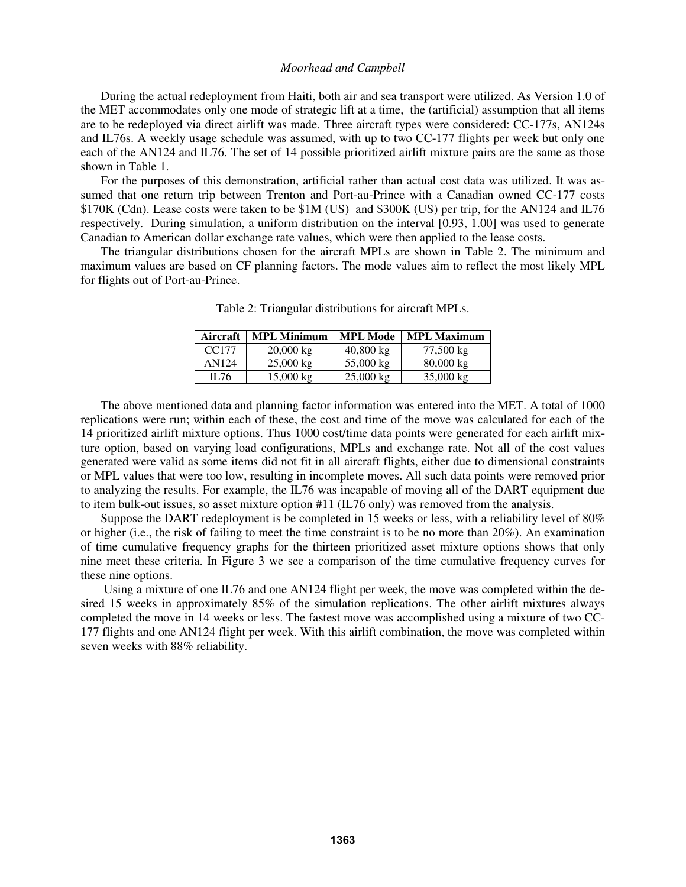During the actual redeployment from Haiti, both air and sea transport were utilized. As Version 1.0 of the MET accommodates only one mode of strategic lift at a time, the (artificial) assumption that all items are to be redeployed via direct airlift was made. Three aircraft types were considered: CC-177s, AN124s and IL76s. A weekly usage schedule was assumed, with up to two CC-177 flights per week but only one each of the AN124 and IL76. The set of 14 possible prioritized airlift mixture pairs are the same as those shown in Table 1.

For the purposes of this demonstration, artificial rather than actual cost data was utilized. It was assumed that one return trip between Trenton and Port-au-Prince with a Canadian owned CC-177 costs \$170K (Cdn). Lease costs were taken to be \$1M (US) and \$300K (US) per trip, for the AN124 and IL76 respectively. During simulation, a uniform distribution on the interval [0.93, 1.00] was used to generate Canadian to American dollar exchange rate values, which were then applied to the lease costs.

The triangular distributions chosen for the aircraft MPLs are shown in Table 2. The minimum and maximum values are based on CF planning factors. The mode values aim to reflect the most likely MPL for flights out of Port-au-Prince.

| Aircraft | <b>MPL</b> Minimum  | <b>MPL Mode</b>     | <b>MPL Maximum</b>  |
|----------|---------------------|---------------------|---------------------|
| CC177    | $20,000 \text{ kg}$ | $40,800 \text{ kg}$ | 77,500 kg           |
| AN124    | $25,000 \text{ kg}$ | 55,000 $kg$         | $80,000 \text{ kg}$ |
| IL76     | $15,000 \text{ kg}$ | $25,000 \text{ kg}$ | $35,000 \text{ kg}$ |

Table 2: Triangular distributions for aircraft MPLs.

The above mentioned data and planning factor information was entered into the MET. A total of 1000 replications were run; within each of these, the cost and time of the move was calculated for each of the 14 prioritized airlift mixture options. Thus 1000 cost/time data points were generated for each airlift mixture option, based on varying load configurations, MPLs and exchange rate. Not all of the cost values generated were valid as some items did not fit in all aircraft flights, either due to dimensional constraints or MPL values that were too low, resulting in incomplete moves. All such data points were removed prior to analyzing the results. For example, the IL76 was incapable of moving all of the DART equipment due to item bulk-out issues, so asset mixture option #11 (IL76 only) was removed from the analysis.

Suppose the DART redeployment is be completed in 15 weeks or less, with a reliability level of 80% or higher (i.e., the risk of failing to meet the time constraint is to be no more than 20%). An examination of time cumulative frequency graphs for the thirteen prioritized asset mixture options shows that only nine meet these criteria. In Figure 3 we see a comparison of the time cumulative frequency curves for these nine options.

 Using a mixture of one IL76 and one AN124 flight per week, the move was completed within the desired 15 weeks in approximately 85% of the simulation replications. The other airlift mixtures always completed the move in 14 weeks or less. The fastest move was accomplished using a mixture of two CC-177 flights and one AN124 flight per week. With this airlift combination, the move was completed within seven weeks with 88% reliability.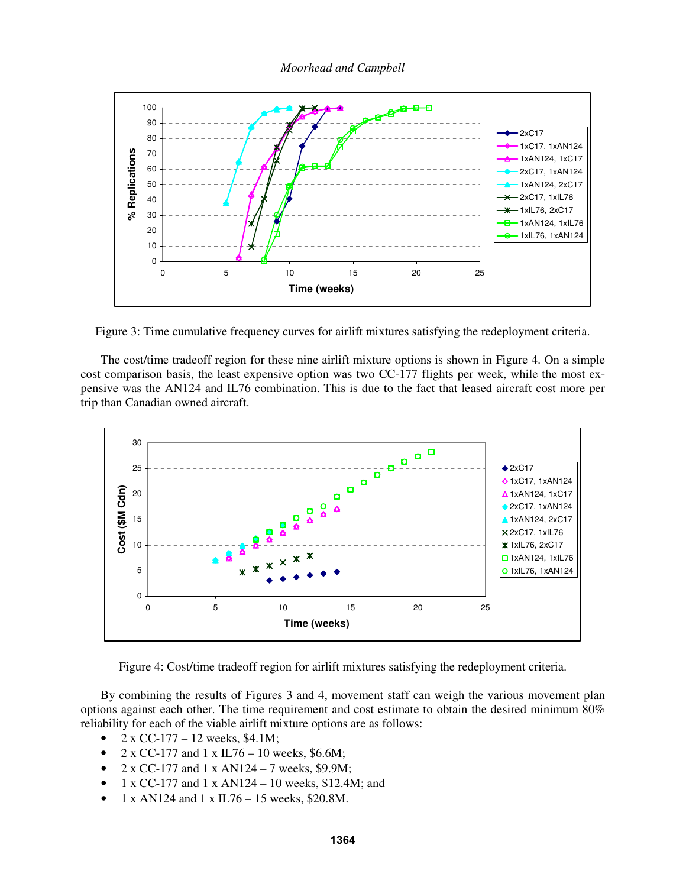*Moorhead and Campbell* 



Figure 3: Time cumulative frequency curves for airlift mixtures satisfying the redeployment criteria.

The cost/time tradeoff region for these nine airlift mixture options is shown in Figure 4. On a simple cost comparison basis, the least expensive option was two CC-177 flights per week, while the most expensive was the AN124 and IL76 combination. This is due to the fact that leased aircraft cost more per trip than Canadian owned aircraft.



Figure 4: Cost/time tradeoff region for airlift mixtures satisfying the redeployment criteria.

By combining the results of Figures 3 and 4, movement staff can weigh the various movement plan options against each other. The time requirement and cost estimate to obtain the desired minimum 80% reliability for each of the viable airlift mixture options are as follows:

- 2 x CC-177 12 weeks, \$4.1M;
- 2 x CC-177 and 1 x IL76 10 weeks, \$6.6M;
- 2 x CC-177 and 1 x AN124 7 weeks, \$9.9M;
- 1 x CC-177 and 1 x AN124 10 weeks, \$12.4M; and
- 1 x AN124 and 1 x IL76 15 weeks, \$20.8M.